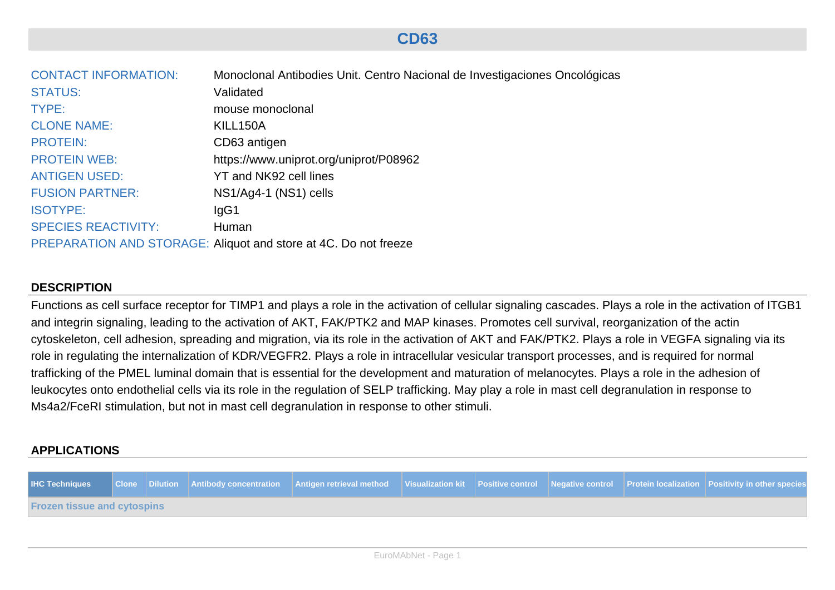# **CD63**

| <b>CONTACT INFORMATION:</b> | Monoclonal Antibodies Unit. Centro Nacional de Investigaciones Oncológicas |
|-----------------------------|----------------------------------------------------------------------------|
| <b>STATUS:</b>              | Validated                                                                  |
| TYPE:                       | mouse monoclonal                                                           |
| <b>CLONE NAME:</b>          | KILL150A                                                                   |
| <b>PROTEIN:</b>             | CD63 antigen                                                               |
| <b>PROTEIN WEB:</b>         | https://www.uniprot.org/uniprot/P08962                                     |
| <b>ANTIGEN USED:</b>        | YT and NK92 cell lines                                                     |
| <b>FUSION PARTNER:</b>      | NS1/Ag4-1 (NS1) cells                                                      |
| <b>ISOTYPE:</b>             | lgG1                                                                       |
| <b>SPECIES REACTIVITY:</b>  | Human                                                                      |
|                             | PREPARATION AND STORAGE: Aliquot and store at 4C. Do not freeze            |

# **DESCRIPTION**

Functions as cell surface receptor for TIMP1 and plays a role in the activation of cellular signaling cascades. Plays a role in the activation of ITGB1 and integrin signaling, leading to the activation of AKT, FAK/PTK2 and MAP kinases. Promotes cell survival, reorganization of the actin cytoskeleton, cell adhesion, spreading and migration, via its role in the activation of AKT and FAK/PTK2. Plays a role in VEGFA signaling via its role in regulating the internalization of KDR/VEGFR2. Plays a role in intracellular vesicular transport processes, and is required for normal trafficking of the PMEL luminal domain that is essential for the development and maturation of melanocytes. Plays a role in the adhesion of leukocytes onto endothelial cells via its role in the regulation of SELP trafficking. May play a role in mast cell degranulation in response to Ms4a2/FceRI stimulation, but not in mast cell degranulation in response to other stimuli.

## **APPLICATIONS**

|                                    |  | HC Techniques Clone Dilution Antibody concentration Antigen retrieval method Visualization kit Positive control Negative control Protein localization Positivity in other species |  |  |  |
|------------------------------------|--|-----------------------------------------------------------------------------------------------------------------------------------------------------------------------------------|--|--|--|
| <b>Frozen tissue and cytospins</b> |  |                                                                                                                                                                                   |  |  |  |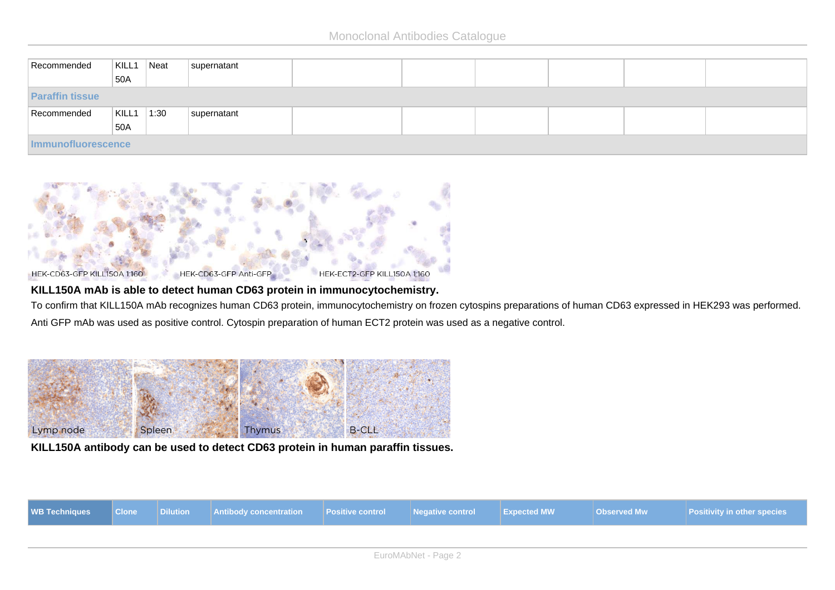| Recommended            | KILL1<br>50A | Neat | supernatant |  |  |  |  |  |  |
|------------------------|--------------|------|-------------|--|--|--|--|--|--|
|                        |              |      |             |  |  |  |  |  |  |
| <b>Paraffin tissue</b> |              |      |             |  |  |  |  |  |  |
| Recommended            | KILL1        | 1:30 | supernatant |  |  |  |  |  |  |
|                        | 50A          |      |             |  |  |  |  |  |  |
| Immunofluorescence     |              |      |             |  |  |  |  |  |  |



#### **KILL150A mAb is able to detect human CD63 protein in immunocytochemistry.**

To confirm that KILL150A mAb recognizes human CD63 protein, immunocytochemistry on frozen cytospins preparations of human CD63 expressed in HEK293 was performed. Anti GFP mAb was used as positive control. Cytospin preparation of human ECT2 protein was used as a negative control.



#### **KILL150A antibody can be used to detect CD63 protein in human paraffin tissues.**

| <b>WB Techniques</b> Clone |  | Dilution Antibody concentration | <b>Positive control</b> | <b>Negative control</b> | <b>Expected MW</b> | Observed Mw | <b>Positivity in other species</b> |
|----------------------------|--|---------------------------------|-------------------------|-------------------------|--------------------|-------------|------------------------------------|
|                            |  |                                 |                         |                         |                    |             |                                    |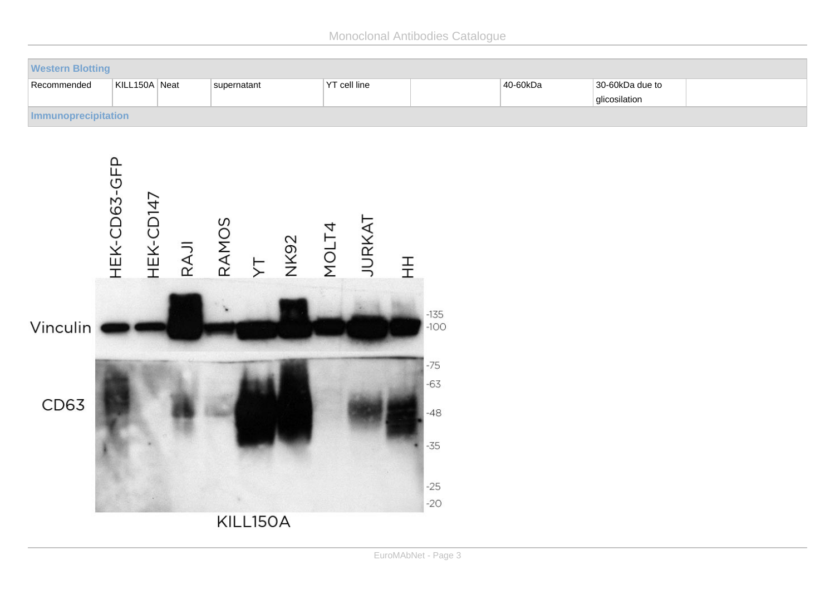Monoclonal Antibodies Catalogue